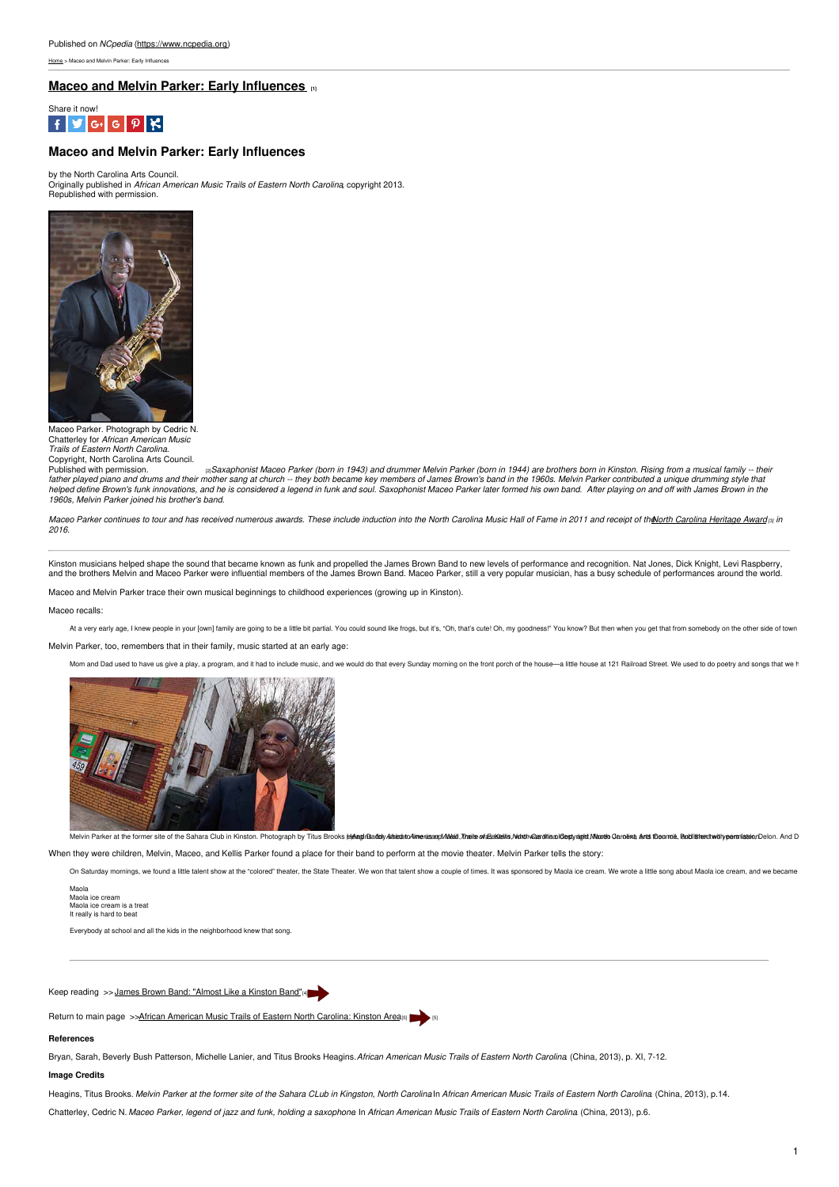[Home](https://www.ncpedia.org/) > Maceo and Melvin Parker: Early Influences

## **Maceo and Melvin Parker: Early [Influences](https://www.ncpedia.org/maceo-and-melvin-parker-early) [1]**



## **Maceo and Melvin Parker: Early Influences**

by the North Carolina Arts Council. Originally published in *African American Music Trails of Eastern North Carolina*, copyright 2013.<br>Republished with permission.



#### Maceo Parker. Photograph by Cedric N. Chatterley for *African American Music Trails of Eastern North Carolina.*

Copyright, North Carolina Arts Council. a Saxaphonist Maceo Parker (born in 1943) and drummer Melvin Parker (born in 1944) are brothers born in Kinston. Rising from a musical family -- their father played piano and drums and their mother sang at church -- they both became key members of James Brown's band in the 1960s. Melvin Parker contributed a unique drumming style that helped define Brown's funk innovations, and he is considered a legend in funk and soul. Saxophonist Maceo Parker later formed his own band. After playing on and off with James Brown in the *1960s, Melvin Parker joined his brother's band.*

Maceo Parker continues to tour and has received numerous awards. These include induction into the North Carolina Music Hall of Fame in 2011 and receipt of the orth Carolina [Heritage](https://www.ncpedia.org/taxonomy/term/3221) Award rs inter *2016.*

Kinston musicians helped shape the sound that became known as funk and propelled the James Brown Band to new levels of performance and recognition. Nat Jones, Dick Knight, Levi Raspberry, and the brothers Melvin and Maceo Parker were influential members of the James Brown Band. Maceo Parker, still a very popular musician, has a busy schedule of performances around the world.

Maceo and Melvin Parker trace their own musical beginnings to childhood experiences (growing up in Kinston).

Maceo recalls:

At a very early age, I knew people in your [own] family are going to be a little bit partial. You could sound like frogs, but it's, "Oh, that's cute! Oh, my goodness!" You know? But then when you get that from somebody on

Melvin Parker, too, remembers that in their family, music started at an early age:

Mom and Dad used to have us give a play, a program, and it had to include music, and we would do that every Sunday morning on the front porch of the house--a little house at 121 Railroad Street. We used to do poetry and so



Melvin Parker at the former site of the Sahara Club in Kinston. [Photograph](https://www.ncarts.org/aamt/african-american-music-trail) by Titus Brooks MeanifBadthy Afsteato Aimeyiasano/Mead. That's of &Sakalits Notathy Casy of and San Club Mass of Archival Mass of Archival Mass of

When they were children, Melvin, Maceo, and Kellis Parker found a place for their band to perform at the movie theater. Melvin Parker tells the story:

On Saturday mornings, we found a little talent show at the "colored" theater, the State Theater. We won that talent show a couple of times. It was sponsored by Maola ice cream. We wrote a little song about Maola ice cream,

Maola<br>Maola ice cream Maola ice cream Maola ice cream is a treat It really is hard to beat

Everybody at school and all the kids in the neighborhood knew that song.

Keep reading >> James Brown Band: ["Almost](https://www.ncpedia.org/james-brown-band-almost-kinston) Like a Kinston Band"[4]

Return to main page >>African [American](https://www.ncpedia.org/african-american-music-trails) Music Trails of Eastern North Carolina: Kinston Area<sub>(5)</sub>

### **References**

Bryan, Sarah, Beverly Bush Patterson, Michelle Lanier, and Titus Brooks Heagins.*African American Music Trails of Eastern North Carolina*. (China, 2013), p. XI, 7-12.

# **Image Credits**

Heagins, Titus Brooks. Melvin Parker at the former site of the Sahara CLub in Kingston, North Carolina In African American Music Trails of Eastern North Carolina (China, 2013), p.14.

Chatterley, Cedric N. Maceo Parker, legend of jazz and funk, holding a saxophone In African American Music Trails of Eastern North Carolina (China, 2013), p.6.